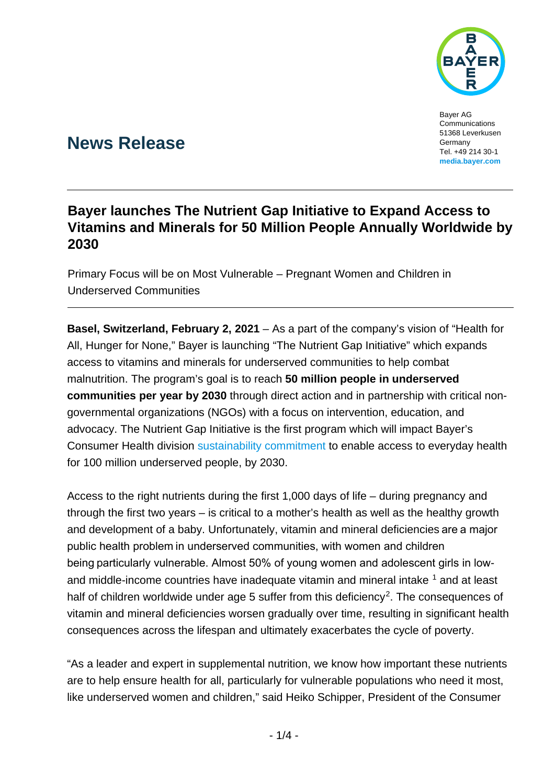

Bayer AG Communications 51368 Leverkusen Germany Tel. +49 214 30-1 **[media.bayer.com](http://media.bayer.de/)**

# **News Release**

## **Bayer launches The Nutrient Gap Initiative to Expand Access to Vitamins and Minerals for 50 Million People Annually Worldwide by 2030**

Primary Focus will be on Most Vulnerable – Pregnant Women and Children in Underserved Communities

**Basel, Switzerland, February 2, 2021** – As a part of the company's vision of "Health for All, Hunger for None," Bayer is launching "The Nutrient Gap Initiative" which expands access to vitamins and minerals for underserved communities to help combat malnutrition. The program's goal is to reach **50 million people in underserved communities per year by 2030** through direct action and in partnership with critical nongovernmental organizations (NGOs) with a focus on intervention, education, and advocacy. The Nutrient Gap Initiative is the first program which will impact Bayer's Consumer Health division [sustainability commitment](https://www.bayer.com/en/sustainability/sustainability-strategy) to enable access to everyday health for 100 million underserved people, by 2030.

Access to the right nutrients during the first 1,000 days of life – during pregnancy and through the first two years – is critical to a mother's health as well as the healthy growth and development of a baby. Unfortunately, vitamin and mineral deficiencies are a major public health problem in underserved communities, with women and children being particularly vulnerable. Almost 50% of young women and adolescent girls in low-and middle-income countries have inadequate vitamin and mineral intake <sup>[1](#page-3-0)</sup> and at least half of children worldwide under age 5 suffer from this deficiency<sup>[2](#page-3-1)</sup>. The consequences of vitamin and mineral deficiencies worsen gradually over time, resulting in significant health consequences across the lifespan and ultimately exacerbates the cycle of poverty.

"As a leader and expert in supplemental nutrition, we know how important these nutrients are to help ensure health for all, particularly for vulnerable populations who need it most, like underserved women and children," said Heiko Schipper, President of the Consumer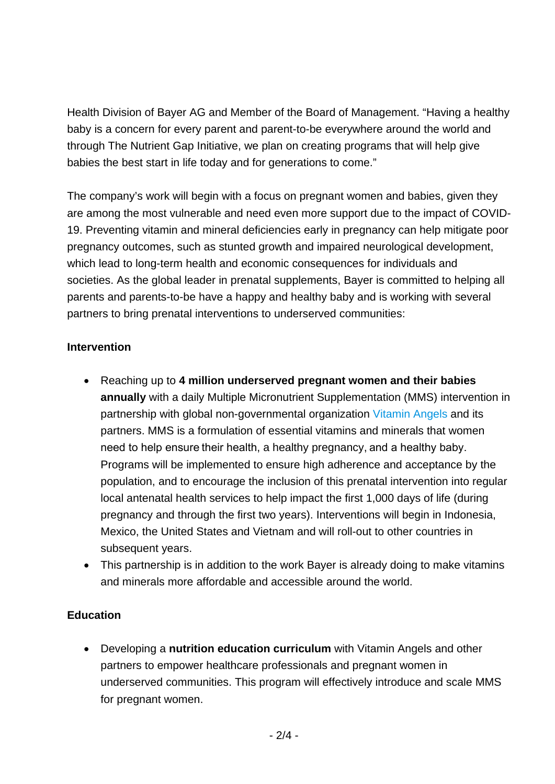Health Division of Bayer AG and Member of the Board of Management. "Having a healthy baby is a concern for every parent and parent-to-be everywhere around the world and through The Nutrient Gap Initiative, we plan on creating programs that will help give babies the best start in life today and for generations to come."

The company's work will begin with a focus on pregnant women and babies, given they are among the most vulnerable and need even more support due to the impact of COVID-19. Preventing vitamin and mineral deficiencies early in pregnancy can help mitigate poor pregnancy outcomes, such as stunted growth and impaired neurological development, which lead to long-term health and economic consequences for individuals and societies. As the global leader in prenatal supplements, Bayer is committed to helping all parents and parents-to-be have a happy and healthy baby and is working with several partners to bring prenatal interventions to underserved communities:

#### **Intervention**

- Reaching up to **4 million underserved pregnant women and their babies annually** with a daily Multiple Micronutrient Supplementation (MMS) intervention in partnership with global non-governmental organization [Vitamin Angels](https://www.vitaminangels.org/supporter/bayer) and its partners. MMS is a formulation of essential vitamins and minerals that women need to help ensure their health, a healthy pregnancy, and a healthy baby. Programs will be implemented to ensure high adherence and acceptance by the population, and to encourage the inclusion of this prenatal intervention into regular local antenatal health services to help impact the first 1,000 days of life (during pregnancy and through the first two years). Interventions will begin in Indonesia, Mexico, the United States and Vietnam and will roll-out to other countries in subsequent years.
- This partnership is in addition to the work Bayer is already doing to make vitamins and minerals more affordable and accessible around the world.

#### **Education**

• Developing a **nutrition education curriculum** with Vitamin Angels and other partners to empower healthcare professionals and pregnant women in underserved communities. This program will effectively introduce and scale MMS for pregnant women.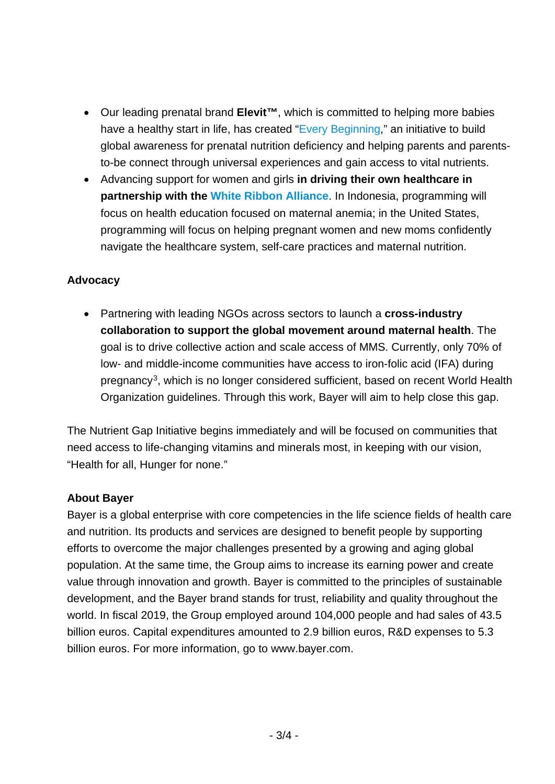- Our leading prenatal brand **Elevit™**, which is committed to helping more babies have a healthy start in life, has created ["Every Beginning,](https://www.elevit.com.au/everybeginning)" an initiative to build global awareness for prenatal nutrition deficiency and helping parents and parentsto-be connect through universal experiences and gain access to vital nutrients.
- Advancing support for women and girls **in driving their own healthcare in partnership with the [White Ribbon Alliance](https://www.whiteribbonalliance.org/partners/)**. In Indonesia, programming will focus on health education focused on maternal anemia; in the United States, programming will focus on helping pregnant women and new moms confidently navigate the healthcare system, self-care practices and maternal nutrition.

#### **Advocacy**

• Partnering with leading NGOs across sectors to launch a **cross-industry collaboration to support the global movement around maternal health**. The goal is to drive collective action and scale access of MMS. Currently, only 70% of low- and middle-income communities have access to iron-folic acid (IFA) during pregnancy[3,](#page-3-2) which is no longer considered sufficient, based on recent World Health Organization guidelines. Through this work, Bayer will aim to help close this gap.

The Nutrient Gap Initiative begins immediately and will be focused on communities that need access to life-changing vitamins and minerals most, in keeping with our vision, "Health for all, Hunger for none."

#### **About Bayer**

Bayer is a global enterprise with core competencies in the life science fields of health care and nutrition. Its products and services are designed to benefit people by supporting efforts to overcome the major challenges presented by a growing and aging global population. At the same time, the Group aims to increase its earning power and create value through innovation and growth. Bayer is committed to the principles of sustainable development, and the Bayer brand stands for trust, reliability and quality throughout the world. In fiscal 2019, the Group employed around 104,000 people and had sales of 43.5 billion euros. Capital expenditures amounted to 2.9 billion euros, R&D expenses to 5.3 billion euros. For more information, go to [www.bayer.com.](http://www.bayer.com/)